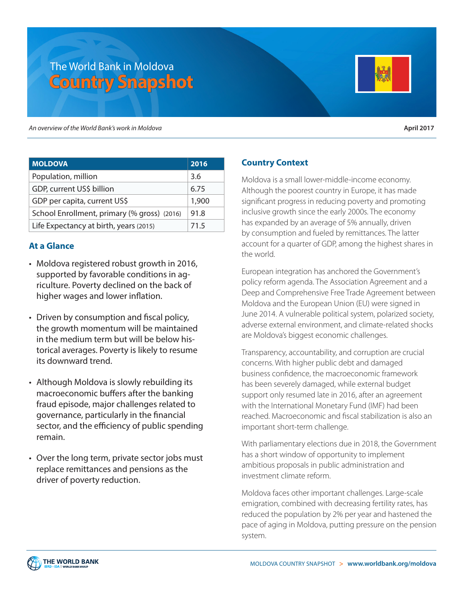# The World Bank in Moldova **Country Snapshot**



*An overview of the World Bank's work in Moldova* **April 2017**

| <b>MOLDOVA</b>                              | 2016  |
|---------------------------------------------|-------|
| Population, million                         | 3.6   |
| GDP, current US\$ billion                   | 6.75  |
| GDP per capita, current US\$                | 1,900 |
| School Enrollment, primary (% gross) (2016) | 91.8  |
| Life Expectancy at birth, years (2015)      | 71.5  |

# **At a Glance**

- Moldova registered robust growth in 2016, supported by favorable conditions in agriculture. Poverty declined on the back of higher wages and lower inflation.
- Driven by consumption and fiscal policy, the growth momentum will be maintained in the medium term but will be below historical averages. Poverty is likely to resume its downward trend.
- Although Moldova is slowly rebuilding its macroeconomic buffers after the banking fraud episode, major challenges related to governance, particularly in the financial sector, and the efficiency of public spending remain.
- Over the long term, private sector jobs must replace remittances and pensions as the driver of poverty reduction.

# **Country Context**

Moldova is a small lower-middle-income economy. Although the poorest country in Europe, it has made significant progress in reducing poverty and promoting inclusive growth since the early 2000s. The economy has expanded by an average of 5% annually, driven by consumption and fueled by remittances. The latter account for a quarter of GDP, among the highest shares in the world.

European integration has anchored the Government's policy reform agenda. The Association Agreement and a Deep and Comprehensive Free Trade Agreement between Moldova and the European Union (EU) were signed in June 2014. A vulnerable political system, polarized society, adverse external environment, and climate-related shocks are Moldova's biggest economic challenges.

Transparency, accountability, and corruption are crucial concerns. With higher public debt and damaged business confidence, the macroeconomic framework has been severely damaged, while external budget support only resumed late in 2016, after an agreement with the International Monetary Fund (IMF) had been reached. Macroeconomic and fiscal stabilization is also an important short-term challenge.

With parliamentary elections due in 2018, the Government has a short window of opportunity to implement ambitious proposals in public administration and investment climate reform.

Moldova faces other important challenges. Large-scale emigration, combined with decreasing fertility rates, has reduced the population by 2% per year and hastened the pace of aging in Moldova, putting pressure on the pension system.

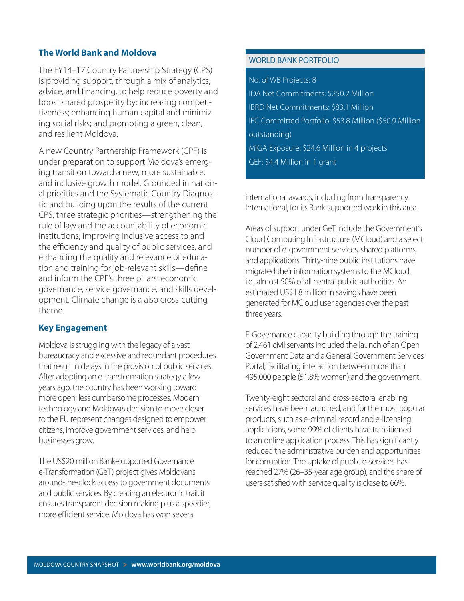## **The World Bank and Moldova**

The FY14–17 Country Partnership Strategy (CPS) is providing support, through a mix of analytics, advice, and financing, to help reduce poverty and boost shared prosperity by: increasing competitiveness; enhancing human capital and minimizing social risks; and promoting a green, clean, and resilient Moldova.

A new Country Partnership Framework (CPF) is under preparation to support Moldova's emerging transition toward a new, more sustainable, and inclusive growth model. Grounded in national priorities and the Systematic Country Diagnostic and building upon the results of the current CPS, three strategic priorities—strengthening the rule of law and the accountability of economic institutions, improving inclusive access to and the efficiency and quality of public services, and enhancing the quality and relevance of education and training for job-relevant skills—define and inform the CPF's three pillars: economic governance, service governance, and skills development. Climate change is a also cross-cutting theme.

# **Key Engagement**

Moldova is struggling with the legacy of a vast bureaucracy and excessive and redundant procedures that result in delays in the provision of public services. After adopting an e-transformation strategy a few years ago, the country has been working toward more open, less cumbersome processes. Modern technology and Moldova's decision to move closer to the EU represent changes designed to empower citizens, improve government services, and help businesses grow.

The US\$20 million Bank-supported Governance e-Transformation (GeT) project gives Moldovans around-the-clock access to government documents and public services. By creating an electronic trail, it ensures transparent decision making plus a speedier, more efficient service. Moldova has won several

## WORLD BANK PORTFOLIO

#### No. of WB Projects: 8

IDA Net Commitments: \$250.2 Million IBRD Net Commitments: \$83.1 Million IFC Committed Portfolio: \$53.8 Million (\$50.9 Million outstanding) MIGA Exposure: \$24.6 Million in 4 projects GEF: \$4.4 Million in 1 grant

international awards, including from Transparency International, for its Bank-supported work in this area.

Areas of support under GeT include the Government's Cloud Computing Infrastructure (MCloud) and a select number of e-government services, shared platforms, and applications. Thirty-nine public institutions have migrated their information systems to the MCloud, i.e., almost 50% of all central public authorities. An estimated US\$1.8 million in savings have been generated for MCloud user agencies over the past three years.

E-Governance capacity building through the training of 2,461 civil servants included the launch of an Open Government Data and a General Government Services Portal, facilitating interaction between more than 495,000 people (51.8% women) and the government.

Twenty-eight sectoral and cross-sectoral enabling services have been launched, and for the most popular products, such as e-criminal record and e-licensing applications, some 99% of clients have transitioned to an online application process. This has significantly reduced the administrative burden and opportunities for corruption. The uptake of public e-services has reached 27% (26–35-year age group), and the share of users satisfied with service quality is close to 66%.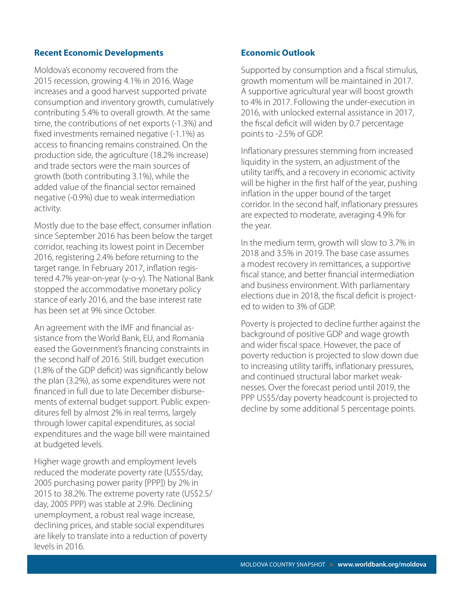#### **Recent Economic Developments**

Moldova's economy recovered from the 2015 recession, growing 4.1% in 2016. Wage increases and a good harvest supported private consumption and inventory growth, cumulatively contributing 5.4% to overall growth. At the same time, the contributions of net exports (-1.3%) and fixed investments remained negative (-1.1%) as access to financing remains constrained. On the production side, the agriculture (18.2% increase) and trade sectors were the main sources of growth (both contributing 3.1%), while the added value of the financial sector remained negative (-0.9%) due to weak intermediation activity.

Mostly due to the base effect, consumer inflation since September 2016 has been below the target corridor, reaching its lowest point in December 2016, registering 2.4% before returning to the target range. In February 2017, inflation registered 4.7% year-on-year (y-o-y). The National Bank stopped the accommodative monetary policy stance of early 2016, and the base interest rate has been set at 9% since October.

An agreement with the IMF and financial assistance from the World Bank, EU, and Romania eased the Government's financing constraints in the second half of 2016. Still, budget execution (1.8% of the GDP deficit) was significantly below the plan (3.2%), as some expenditures were not financed in full due to late December disbursements of external budget support. Public expenditures fell by almost 2% in real terms, largely through lower capital expenditures, as social expenditures and the wage bill were maintained at budgeted levels.

Higher wage growth and employment levels reduced the moderate poverty rate (US\$5/day, 2005 purchasing power parity [PPP]) by 2% in 2015 to 38.2%. The extreme poverty rate (US\$2.5/ day, 2005 PPP) was stable at 2.9%. Declining unemployment, a robust real wage increase, declining prices, and stable social expenditures are likely to translate into a reduction of poverty levels in 2016.

#### **Economic Outlook**

Supported by consumption and a fiscal stimulus, growth momentum will be maintained in 2017. A supportive agricultural year will boost growth to 4% in 2017. Following the under-execution in 2016, with unlocked external assistance in 2017, the fiscal deficit will widen by 0.7 percentage points to -2.5% of GDP.

Inflationary pressures stemming from increased liquidity in the system, an adjustment of the utility tariffs, and a recovery in economic activity will be higher in the first half of the year, pushing inflation in the upper bound of the target corridor. In the second half, inflationary pressures are expected to moderate, averaging 4.9% for the year.

In the medium term, growth will slow to 3.7% in 2018 and 3.5% in 2019. The base case assumes a modest recovery in remittances, a supportive fiscal stance, and better financial intermediation and business environment. With parliamentary elections due in 2018, the fiscal deficit is projected to widen to 3% of GDP.

Poverty is projected to decline further against the background of positive GDP and wage growth and wider fiscal space. However, the pace of poverty reduction is projected to slow down due to increasing utility tariffs, inflationary pressures, and continued structural labor market weaknesses. Over the forecast period until 2019, the PPP US\$5/day poverty headcount is projected to decline by some additional 5 percentage points.